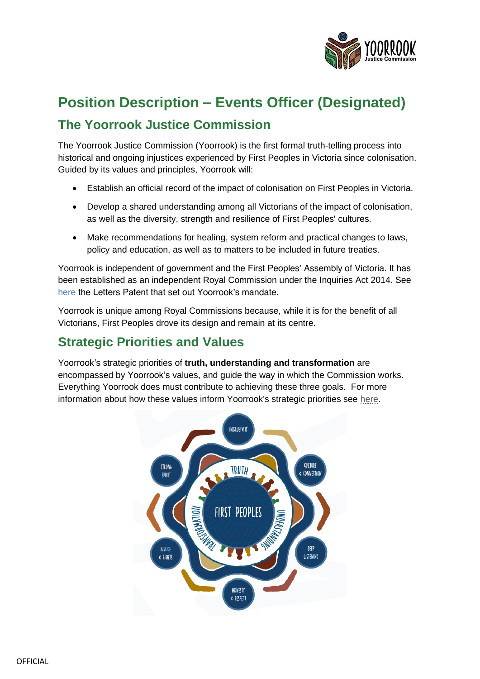

# **Position Description – Events Officer (Designated) The Yoorrook Justice Commission**

The Yoorrook Justice Commission (Yoorrook) is the first formal truth-telling process into historical and ongoing injustices experienced by First Peoples in Victoria since colonisation. Guided by its values and principles, Yoorrook will:

- Establish an official record of the impact of colonisation on First Peoples in Victoria.
- Develop a shared understanding among all Victorians of the impact of colonisation, as well as the diversity, strength and resilience of First Peoples' cultures.
- Make recommendations for healing, system reform and practical changes to laws, policy and education, as well as to matters to be included in future treaties.

Yoorrook is independent of government and the First Peoples' Assembly of Victoria. It has been established as an independent Royal Commission under the *Inquiries Act 2014*. See [here](https://yoorrookjusticecommission.org.au/wp-content/uploads/2021/09/Letters-Patent-Yoo-rrook-Justice-Commission-signed-10-1.pdf) the Letters Patent that set out Yoorrook's mandate.

Yoorrook is unique among Royal Commissions because, while it is for the benefit of all Victorians, First Peoples drove its design and remain at its centre.

### **Strategic Priorities and Values**

Yoorrook's strategic priorities of **truth, understanding and transformation** are encompassed by Yoorrook's values, and guide the way in which the Commission works. Everything Yoorrook does must contribute to achieving these three goals. For more information about how these values inform Yoorrook's strategic priorities see [here](https://yoorrookjusticecommission.org.au/wp-content/uploads/2021/10/Yoo-rrook-Strategic-Priorities.pdf).

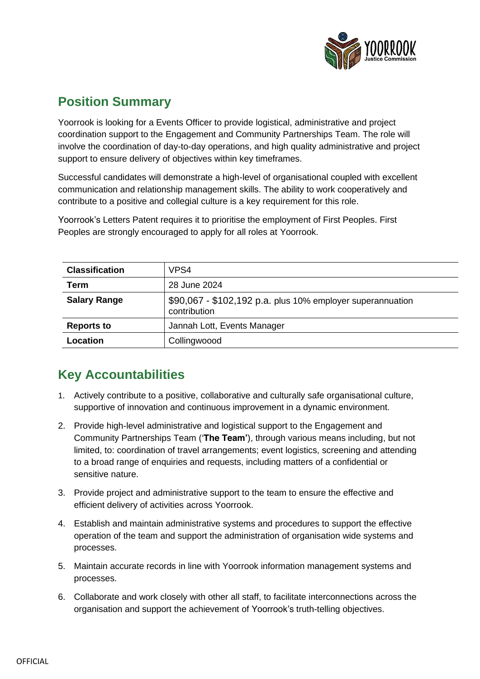

# **Position Summary**

Yoorrook is looking for a Events Officer to provide logistical, administrative and project coordination support to the Engagement and Community Partnerships Team. The role will involve the coordination of day-to-day operations, and high quality administrative and project support to ensure delivery of objectives within key timeframes.

Successful candidates will demonstrate a high-level of organisational coupled with excellent communication and relationship management skills. The ability to work cooperatively and contribute to a positive and collegial culture is a key requirement for this role.

| <b>Classification</b> | VPS4                                                                       |
|-----------------------|----------------------------------------------------------------------------|
| Term                  | 28 June 2024                                                               |
| <b>Salary Range</b>   | \$90,067 - \$102,192 p.a. plus 10% employer superannuation<br>contribution |
| <b>Reports to</b>     | Jannah Lott, Events Manager                                                |
| Location              | Collingwoood                                                               |

Yoorrook's Letters Patent requires it to prioritise the employment of First Peoples. First Peoples are strongly encouraged to apply for all roles at Yoorrook.

# **Key Accountabilities**

- 1. Actively contribute to a positive, collaborative and culturally safe organisational culture, supportive of innovation and continuous improvement in a dynamic environment.
- 2. Provide high-level administrative and logistical support to the Engagement and Community Partnerships Team ('**The Team'**), through various means including, but not limited, to: coordination of travel arrangements; event logistics, screening and attending to a broad range of enquiries and requests, including matters of a confidential or sensitive nature.
- 3. Provide project and administrative support to the team to ensure the effective and efficient delivery of activities across Yoorrook.
- 4. Establish and maintain administrative systems and procedures to support the effective operation of the team and support the administration of organisation wide systems and processes.
- 5. Maintain accurate records in line with Yoorrook information management systems and processes.
- 6. Collaborate and work closely with other all staff, to facilitate interconnections across the organisation and support the achievement of Yoorrook's truth-telling objectives.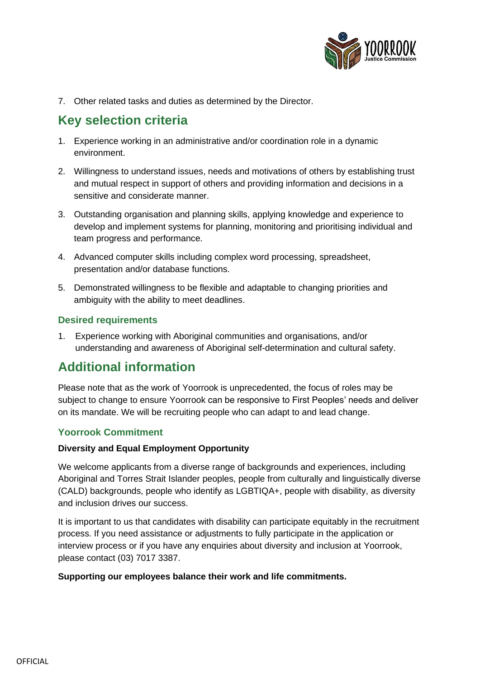

7. Other related tasks and duties as determined by the Director.

## **Key selection criteria**

- 1. Experience working in an administrative and/or coordination role in a dynamic environment.
- 2. Willingness to understand issues, needs and motivations of others by establishing trust and mutual respect in support of others and providing information and decisions in a sensitive and considerate manner.
- 3. Outstanding organisation and planning skills, applying knowledge and experience to develop and implement systems for planning, monitoring and prioritising individual and team progress and performance.
- 4. Advanced computer skills including complex word processing, spreadsheet, presentation and/or database functions.
- 5. Demonstrated willingness to be flexible and adaptable to changing priorities and ambiguity with the ability to meet deadlines.

### **Desired requirements**

1. Experience working with Aboriginal communities and organisations, and/or understanding and awareness of Aboriginal self-determination and cultural safety.

### **Additional information**

Please note that as the work of Yoorrook is unprecedented, the focus of roles may be subject to change to ensure Yoorrook can be responsive to First Peoples' needs and deliver on its mandate. We will be recruiting people who can adapt to and lead change.

### **Yoorrook Commitment**

### **Diversity and Equal Employment Opportunity**

We welcome applicants from a diverse range of backgrounds and experiences, including Aboriginal and Torres Strait Islander peoples, people from culturally and linguistically diverse (CALD) backgrounds, people who identify as LGBTIQA+, people with disability, as diversity and inclusion drives our success.

It is important to us that candidates with disability can participate equitably in the recruitment process. If you need assistance or adjustments to fully participate in the application or interview process or if you have any enquiries about diversity and inclusion at Yoorrook, please contact (03) 7017 3387.

#### **Supporting our employees balance their work and life commitments.**